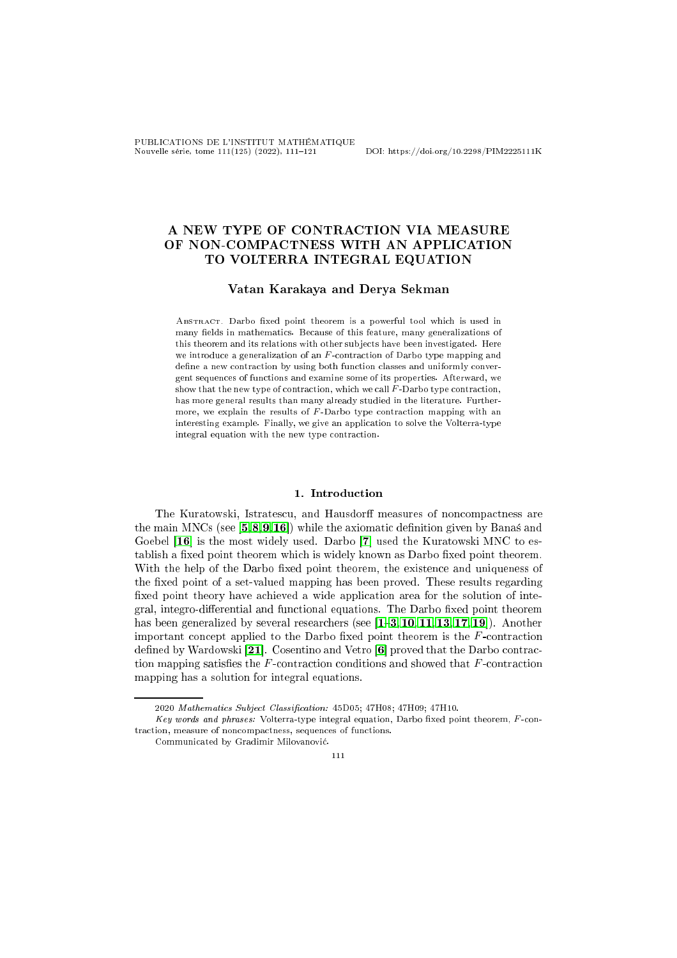PUBLICATIONS DE L'INSTITUT MATHÉMATIQUE Nouvelle série, tome 111(125) (2022), 111121 DOI: https://doi.org/10.2298/PIM2225111K

# A NEW TYPE OF CONTRACTION VIA MEASURE OF NON-COMPACTNESS WITH AN APPLICATION TO VOLTERRA INTEGRAL EQUATION

# Vatan Karakaya and Derya Sekman

ABSTRACT. Darbo fixed point theorem is a powerful tool which is used in many fields in mathematics. Because of this feature, many generalizations of this theorem and its relations with other subjects have been investigated. Here we introduce a generalization of an  $F$ -contraction of Darbo type mapping and define a new contraction by using both function classes and uniformly convergent sequen
es of fun
tions and examine some of its properties. Afterward, we show that the new type of contraction, which we call  $F$ -Darbo type contraction, has more general results than many already studied in the literature. Furthermore, we explain the results of  $F$ -Darbo type contraction mapping with an interesting example. Finally, we give an application to solve the Volterra-type integral equation with the new type contraction.

### 1. Introduction

The Kuratowski, Istratescu, and Hausdorff measures of noncompactness are the main MNCs (see  $[5, 8, 9, 16]$  $[5, 8, 9, 16]$  $[5, 8, 9, 16]$  $[5, 8, 9, 16]$  $[5, 8, 9, 16]$  $[5, 8, 9, 16]$ ) while the axiomatic definition given by Banas and Goebel  $[16]$  is the most widely used. Darbo  $[7]$  used the Kuratowski MNC to establish a fixed point theorem which is widely known as Darbo fixed point theorem. With the help of the Darbo fixed point theorem, the existence and uniqueness of the fixed point of a set-valued mapping has been proved. These results regarding fixed point theory have achieved a wide application area for the solution of integral, integro-differential and functional equations. The Darbo fixed point theorem has been generalized by several researchers (see  $[1-3, 10, 11, 13, 17, 19]$  $[1-3, 10, 11, 13, 17, 19]$  $[1-3, 10, 11, 13, 17, 19]$  $[1-3, 10, 11, 13, 17, 19]$  $[1-3, 10, 11, 13, 17, 19]$  $[1-3, 10, 11, 13, 17, 19]$  $[1-3, 10, 11, 13, 17, 19]$  $[1-3, 10, 11, 13, 17, 19]$  $[1-3, 10, 11, 13, 17, 19]$  $[1-3, 10, 11, 13, 17, 19]$  $[1-3, 10, 11, 13, 17, 19]$  $[1-3, 10, 11, 13, 17, 19]$ ). Another important concept applied to the Darbo fixed point theorem is the F-contraction defined by Wardowski [21]. Cosentino and Vetro  $[6]$  proved that the Darbo contraction mapping satisfies the  $F$ -contraction conditions and showed that  $F$ -contraction mapping has a solution for integral equations.

111

<sup>2020</sup> Mathematics Subject Classification: 45D05; 47H08; 47H09; 47H10.

Key words and phrases: Volterra-type integral equation, Darbo fixed point theorem, F-contraction, measure of noncompactness, sequences of functions.

Communi
ated by Gradimir Milovanovi¢.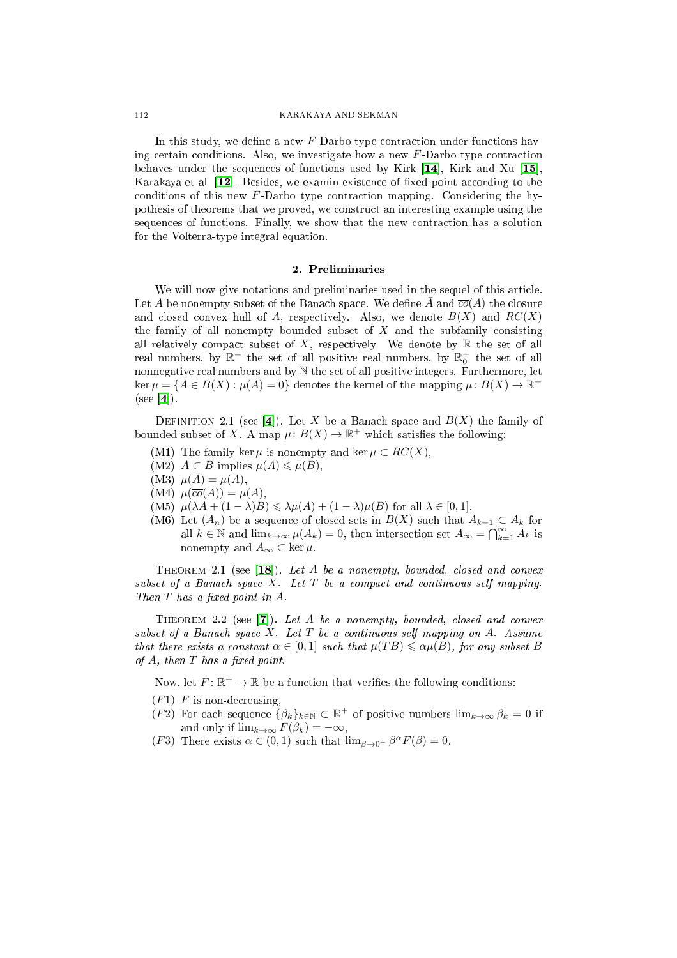In this study, we define a new  $F$ -Darbo type contraction under functions having certain conditions. Also, we investigate how a new F-Darbo type contraction behaves under the sequences of functions used by Kirk  $[14]$ , Kirk and Xu  $[15]$ , Karakaya et al.  $[12]$ . Besides, we examin existence of fixed point according to the conditions of this new  $F$ -Darbo type contraction mapping. Considering the hypothesis of theorems that we proved, we onstru
t an interesting example using the sequences of functions. Finally, we show that the new contraction has a solution for the Volterra-type integral equation.

We will now give notations and preliminaries used in the sequel of this arti
le. Let A be nonempty subset of the Banach space. We define  $\overline{A}$  and  $\overline{co}(A)$  the closure and closed convex hull of A, respectively. Also, we denote  $B(X)$  and  $RC(X)$ the family of all nonempty bounded subset of  $X$  and the subfamily consisting all relatively compact subset of  $X$ , respectively. We denote by  $\mathbb R$  the set of all real numbers, by  $\mathbb{R}^+$  the set of all positive real numbers, by  $\mathbb{R}^+_0$  the set of all nonnegative real numbers and by N the set of all positive integers. Furthermore, let  $\ker \mu = \{A \in B(X) : \mu(A) = 0\}$  denotes the kernel of the mapping  $\mu: B(X) \to \mathbb{R}^+$  $(see [4]).$ 

<span id="page-1-1"></span>DEFINITION 2.1 (see [4]). Let X be a Banach space and  $B(X)$  the family of bounded subset of X. A map  $\mu: B(X) \to \mathbb{R}^+$  which satisfies the following:

- (M1) The family ker  $\mu$  is nonempty and ker  $\mu \subset RC(X)$ ,
- (M2)  $A \subset B$  implies  $\mu(A) \leq \mu(B)$ ,
- (M3)  $\mu(\bar{A}) = \mu(A),$
- $(M4)$   $\mu(\overline{co}(A)) = \mu(A),$
- (M5)  $\mu(\lambda A + (1 \lambda)B) \leq \lambda \mu(A) + (1 \lambda) \mu(B)$  for all  $\lambda \in [0, 1],$
- (M6) Let  $(A_n)$  be a sequence of closed sets in  $B(X)$  such that  $A_{k+1} \subset A_k$  for all  $k \in \mathbb{N}$  and  $\lim_{k \to \infty} \mu(A_k) = 0$ , then intersection set  $A_\infty = \bigcap_{k=1}^\infty A_k$  is nonempty and  $A_{\infty} \subset \ker \mu$ .

<span id="page-1-0"></span>THEOREM 2.1 (see  $[18]$ ). Let A be a nonempty, bounded, closed and convex subset of a Banach space  $X$ . Let  $T$  be a compact and continuous self mapping. Then  $T$  has a fixed point in  $A$ .

THEOREM 2.2 (see  $[7]$ ). Let A be a nonempty, bounded, closed and convex  $subset$  of a Banach space  $X$ . Let  $T$  be a continuous self mapping on  $A$ . Assume that there exists a constant  $\alpha \in [0,1]$  such that  $\mu(TB) \leq \alpha \mu(B)$ , for any subset B of  $A$ , then  $T$  has a fixed point.

Now, let  $F: \mathbb{R}^+ \to \mathbb{R}$  be a function that verifies the following conditions:

- $(F1)$  F is non-decreasing,
- (F2) For each sequence  $\{\beta_k\}_{k\in\mathbb{N}}\subset\mathbb{R}^+$  of positive numbers  $\lim_{k\to\infty}\beta_k=0$  if and only if  $\lim_{k\to\infty} F(\beta_k) = -\infty$ ,
- (F3) There exists  $\alpha \in (0,1)$  such that  $\lim_{\beta \to 0^+} \beta^{\alpha} F(\beta) = 0$ .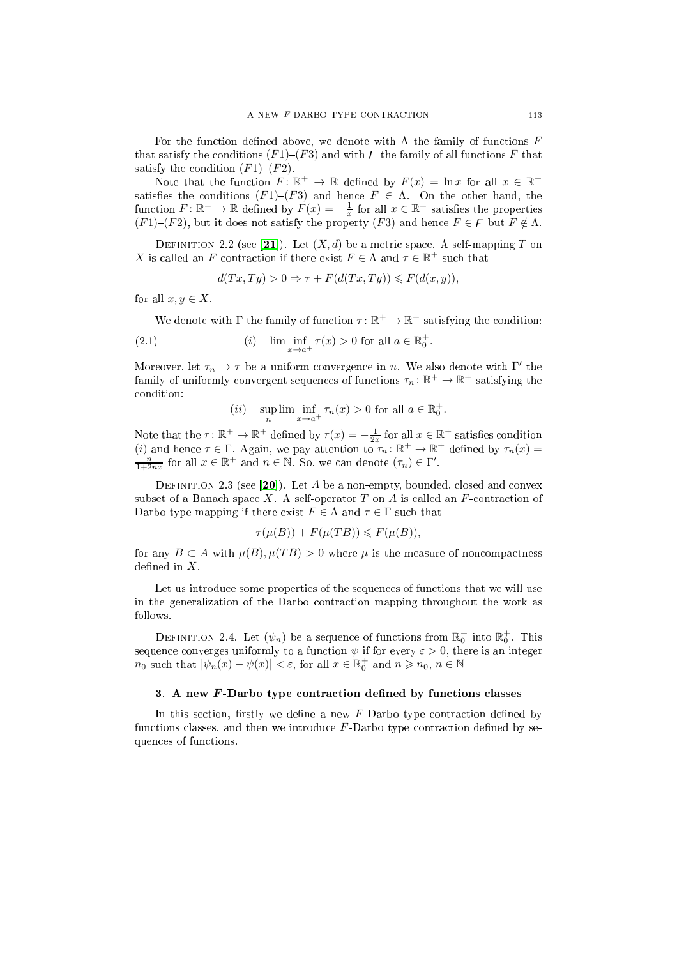For the function defined above, we denote with  $\Lambda$  the family of functions  $F$ that satisfy the conditions  $(F1)$ – $(F3)$  and with  $F$  the family of all functions  $F$  that satisfy the condition  $(F1)$ – $(F2)$ .

Note that the function  $F: \mathbb{R}^+ \to \mathbb{R}$  defined by  $F(x) = \ln x$  for all  $x \in \mathbb{R}^+$ satisfies the conditions  $(F1)$ – $(F3)$  and hence  $F \in \Lambda$ . On the other hand, the function  $F: \mathbb{R}^+ \to \mathbb{R}$  defined by  $F(x) = -\frac{1}{x}$  for all  $x \in \mathbb{R}^+$  satisfies the properties  $(F1)$ – $(F2)$ , but it does not satisfy the property  $(F3)$  and hence  $F \in F$  but  $F \notin \Lambda$ .

DEFINITION 2.2 (see [21]). Let  $(X, d)$  be a metric space. A self-mapping T on X is called an F-contraction if there exist  $F \in \Lambda$  and  $\tau \in \mathbb{R}^+$  such that

<span id="page-2-0"></span>
$$
d(Tx, Ty) > 0 \Rightarrow \tau + F(d(Tx, Ty)) \le F(d(x, y)),
$$

for all  $x, y \in X$ .

We denote with  $\Gamma$  the family of function  $\tau \colon \mathbb{R}^+ \to \mathbb{R}^+$  satisfying the condition:

.

(2.1)   
 
$$
(i) \quad \liminf_{x \to a^+} \tau(x) > 0 \text{ for all } a \in \mathbb{R}_0^+
$$

Moreover, let  $\tau_n \to \tau$  be a uniform convergence in n. We also denote with  $\Gamma'$  the family of uniformly convergent sequences of functions  $\tau_n\colon \mathbb{R}^+\to \mathbb{R}^+$  satisfying the ondition:

$$
(ii) \quad \sup_{n} \lim_{x \to a^{+}} \inf_{x} \tau_{n}(x) > 0 \text{ for all } a \in \mathbb{R}_{0}^{+}.
$$

Note that the  $\tau: \mathbb{R}^+ \to \mathbb{R}^+$  defined by  $\tau(x) = -\frac{1}{2x}$  for all  $x \in \mathbb{R}^+$  satisfies condition (*i*) and hence  $\tau \in \Gamma$ . Again, we pay attention to  $\tau_n: \mathbb{R}^+ \to \mathbb{R}^+$  defined by  $\tau_n(x) = \frac{n}{1+2nx}$  for al

DEFINITION 2.3 (see [20]). Let A be a non-empty, bounded, closed and convex subset of a Banach space X. A self-operator T on A is called an  $F$ -contraction of Darbo-type mapping if there exist  $F \in \Lambda$  and  $\tau \in \Gamma$  such that

$$
\tau(\mu(B)) + F(\mu(TB)) \leq F(\mu(B)),
$$

for any  $B \subset A$  with  $\mu(B), \mu(TB) > 0$  where  $\mu$  is the measure of noncompactness defined in  $X$ .

Let us introduce some properties of the sequences of functions that we will use in the generalization of the Darbo ontra
tion mapping throughout the work as follows.

DEFINITION 2.4. Let  $(\psi_n)$  be a sequence of functions from  $\mathbb{R}^+_0$  into  $\mathbb{R}^+_0$ . This sequence converges uniformly to a function  $\psi$  if for every  $\varepsilon > 0$ , there is an integer  $n_0$  such that  $|\psi_n(x) - \psi(x)| < \varepsilon$ , for all  $x \in \mathbb{R}_0^+$  and  $n \ge n_0$ ,  $n \in \mathbb{N}$ .

### 3. A new  $F$ -Darbo type contraction defined by functions classes

In this section, firstly we define a new  $F$ -Darbo type contraction defined by functions classes, and then we introduce  $F$ -Darbo type contraction defined by sequen
es of fun
tions.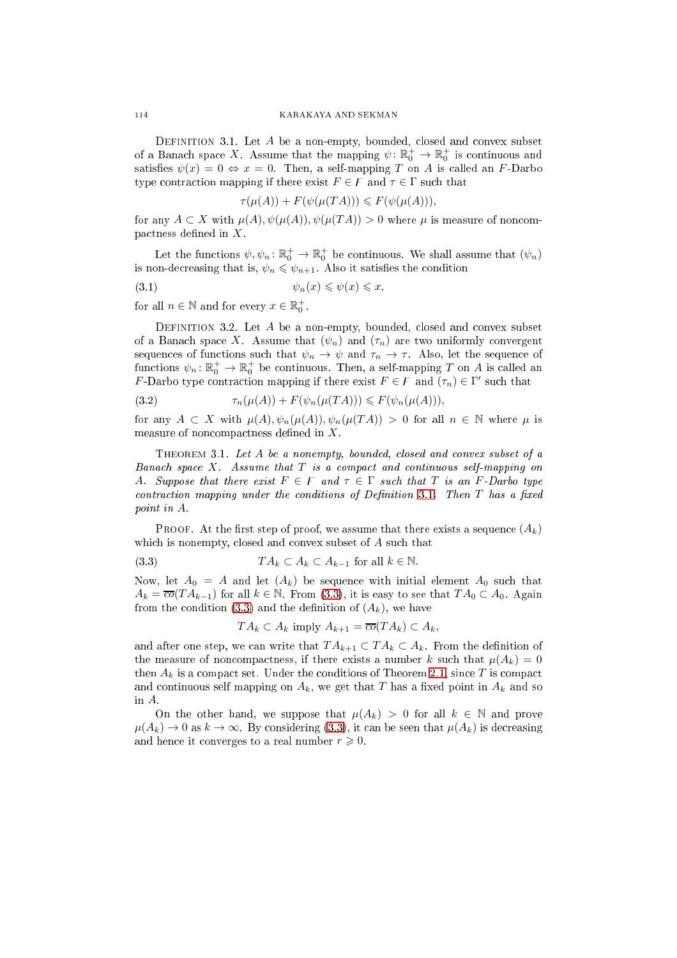<span id="page-3-0"></span>DEFINITION 3.1. Let  $A$  be a non-empty, bounded, closed and convex subset of a Banach space X. Assume that the mapping  $\psi \colon \mathbb{R}_0^+ \to \mathbb{R}_0^+$  is continuous and satisfies  $\psi(x) = 0 \Leftrightarrow x = 0$ . Then, a self-mapping T on A is called an F-Darbo type contraction mapping if there exist  $F \in F$  and  $\tau \in \Gamma$  such that

<span id="page-3-4"></span>
$$
\tau(\mu(A)) + F(\psi(\mu(TA))) \leq F(\psi(\mu(A))),
$$

for any  $A \subset X$  with  $\mu(A), \psi(\mu(A)), \psi(\mu(TA)) > 0$  where  $\mu$  is measure of noncom- $\mathbf{p}$  pactness defined in X.

Let the functions  $\psi, \psi_n : \mathbb{R}_0^+ \to \mathbb{R}_0^+$  be continuous. We shall assume that  $(\psi_n)$ is non-decreasing that is,  $\psi_n \leq \psi_{n+1}$ . Also it satisfies the condition

$$
(3.1) \t\t\t \psi_n(x) \leqslant \psi(x) \leqslant x,
$$

for all  $n \in \mathbb{N}$  and for every  $x \in \mathbb{R}_0^+$ .

<span id="page-3-2"></span>DEFINITION 3.2. Let  $A$  be a non-empty, bounded, closed and convex subset of a Banach space X. Assume that  $(\psi_n)$  and  $(\tau_n)$  are two uniformly convergent sequences of functions such that  $\psi_n \to \psi$  and  $\tau_n \to \tau$ . Also, let the sequence of functions  $\psi_n \colon \mathbb{R}^+_0 \to \mathbb{R}^+_0$  be continuous. Then, a self-mapping T on A is called an F-Darbo type contraction mapping if there exist  $F \in \mathcal{F}$  and  $(\tau_n) \in \Gamma'$  such that

<span id="page-3-5"></span>
$$
(3.2) \qquad \qquad \tau_n(\mu(A)) + F(\psi_n(\mu(TA))) \leqslant F(\psi_n(\mu(A))),
$$

for any  $A \subset X$  with  $\mu(A), \psi_n(\mu(A)), \psi_n(\mu(TA)) > 0$  for all  $n \in \mathbb{N}$  where  $\mu$  is measure of noncompactness defined in  $X$ .

<span id="page-3-3"></span>THEOREM 3.1. Let A be a nonempty, bounded, closed and convex subset of a Banach space  $X$ . Assume that  $T$  is a compact and continuous self-mapping on A. Suppose that there exist  $F \in F$  and  $\tau \in \Gamma$  such that T is an F-Darbo type contraction mapping under the conditions of Definition [3.1.](#page-3-0) Then  $T$  has a fixed point in A.

PROOF. At the first step of proof, we assume that there exists a sequence  $(A_k)$ which is nonempty, closed and convex subset of A such that

(3.3) 
$$
TA_k \subset A_k \subset A_{k-1} \text{ for all } k \in \mathbb{N}.
$$

Now, let  $A_0 = A$  and let  $(A_k)$  be sequence with initial element  $A_0$  such that  $A_k = \overline{co}(TA_{k-1})$  for all  $k \in \mathbb{N}$ . From [\(3.3\)](#page-3-1), it is easy to see that  $TA_0 \subset A_0$ . Again from the condition [\(3.3\)](#page-3-1) and the definition of  $(A_k)$ , we have

<span id="page-3-1"></span>
$$
TA_k \subset A_k
$$
 imply  $A_{k+1} = \overline{co}(TA_k) \subset A_k$ ,

and after one step, we can write that  $TA_{k+1} \subset TA_k \subset A_k$ . From the definition of the measure of noncompactness, if there exists a number k such that  $\mu(A_k) = 0$ then  $A_k$  is a compact set. Under the conditions of Theorem [2.1,](#page-1-0) since T is compact and continuous self mapping on  $A_k$ , we get that T has a fixed point in  $A_k$  and so in A.

On the other hand, we suppose that  $\mu(A_k) > 0$  for all  $k \in \mathbb{N}$  and prove  $\mu(A_k) \to 0$  as  $k \to \infty$ . By considering [\(3.3\)](#page-3-1), it can be seen that  $\mu(A_k)$  is decreasing and hence it converges to a real number  $r \geq 0$ .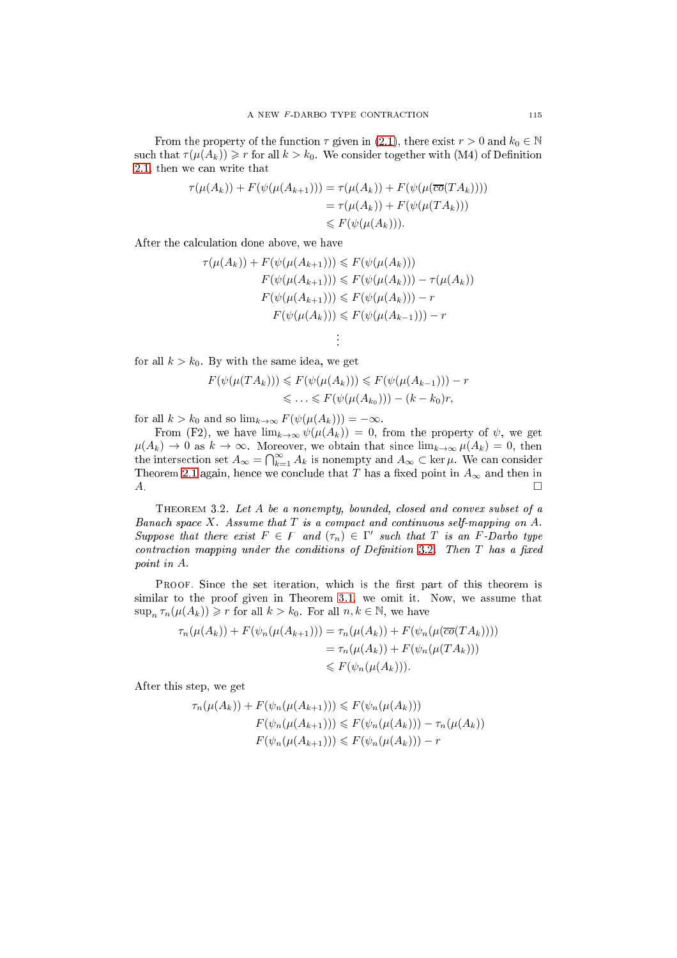From the property of the function  $\tau$  given in [\(2.1\)](#page-2-0), there exist  $r > 0$  and  $k_0 \in \mathbb{N}$ such that  $\tau(\mu(A_k)) \geq r$  for all  $k > k_0$ . We consider together with (M4) of Definition [2.1,](#page-1-1) then we an write that

$$
\tau(\mu(A_k)) + F(\psi(\mu(A_{k+1}))) = \tau(\mu(A_k)) + F(\psi(\mu(\overline{co}(TA_k))))
$$
  
=  $\tau(\mu(A_k)) + F(\psi(\mu(TA_k)))$   
 $\leq F(\psi(\mu(A_k))).$ 

After the al
ulation done above, we have

$$
\tau(\mu(A_k)) + F(\psi(\mu(A_{k+1}))) \leq F(\psi(\mu(A_k)))
$$
  
\n
$$
F(\psi(\mu(A_{k+1}))) \leq F(\psi(\mu(A_k))) - \tau(\mu(A_k))
$$
  
\n
$$
F(\psi(\mu(A_{k+1}))) \leq F(\psi(\mu(A_k))) - r
$$
  
\n
$$
F(\psi(\mu(A_k))) \leq F(\psi(\mu(A_{k-1}))) - r
$$

for all  $k > k_0$ . By with the same idea, we get

$$
F(\psi(\mu(TA_k))) \leq F(\psi(\mu(A_k))) \leq F(\psi(\mu(A_{k-1}))) - r
$$
  

$$
\leq \ldots \leq F(\psi(\mu(A_{k_0}))) - (k - k_0)r,
$$

. .

for all  $k > k_0$  and so  $\lim_{k \to \infty} F(\psi(\mu(A_k))) = -\infty$ .

From (F2), we have  $\lim_{k\to\infty}\psi(\mu(A_k))=0$ , from the property of  $\psi$ , we get  $\mu(A_k) \to 0$  as  $k \to \infty$ . Moreover, we obtain that since  $\lim_{k \to \infty} \mu(A_k) = 0$ , then the intersection set  $A_{\infty} = \bigcap_{k=1}^{\infty} A_k$  is nonempty and  $A_{\infty} \subset \ker \mu$ . We can consider Theorem [2.1](#page-1-0) again, hence we conclude that T has a fixed point in  $A_{\infty}$  and then in  $A$ .

THEOREM 3.2. Let A be a nonempty, bounded, closed and convex subset of a Banach space  $X$ . Assume that  $T$  is a compact and continuous self-mapping on  $A$ . Suppose that there exist  $F \in F$  and  $(\tau_n) \in \Gamma'$  such that T is an F-Darbo type  $contraction$  mapping under the conditions of Definition [3.2.](#page-3-2) Then  $T$  has a fixed point in A.

PROOF. Since the set iteration, which is the first part of this theorem is similar to the proof given in Theorem [3.1,](#page-3-3) we omit it. Now, we assume that  $\sup_n \tau_n(\mu(A_k)) \geqslant r$  for all  $k > k_0$ . For all  $n, k \in \mathbb{N}$ , we have

$$
\tau_n(\mu(A_k)) + F(\psi_n(\mu(A_{k+1}))) = \tau_n(\mu(A_k)) + F(\psi_n(\mu(\overline{co}(TA_k))))
$$
  
=  $\tau_n(\mu(A_k)) + F(\psi_n(\mu(TA_k))))$   
 $\leq F(\psi_n(\mu(A_k))).$ 

After this step, we get

$$
\tau_n(\mu(A_k)) + F(\psi_n(\mu(A_{k+1}))) \leq F(\psi_n(\mu(A_k)))
$$
  

$$
F(\psi_n(\mu(A_{k+1}))) \leq F(\psi_n(\mu(A_k))) - \tau_n(\mu(A_k))
$$
  

$$
F(\psi_n(\mu(A_{k+1}))) \leq F(\psi_n(\mu(A_k))) - r
$$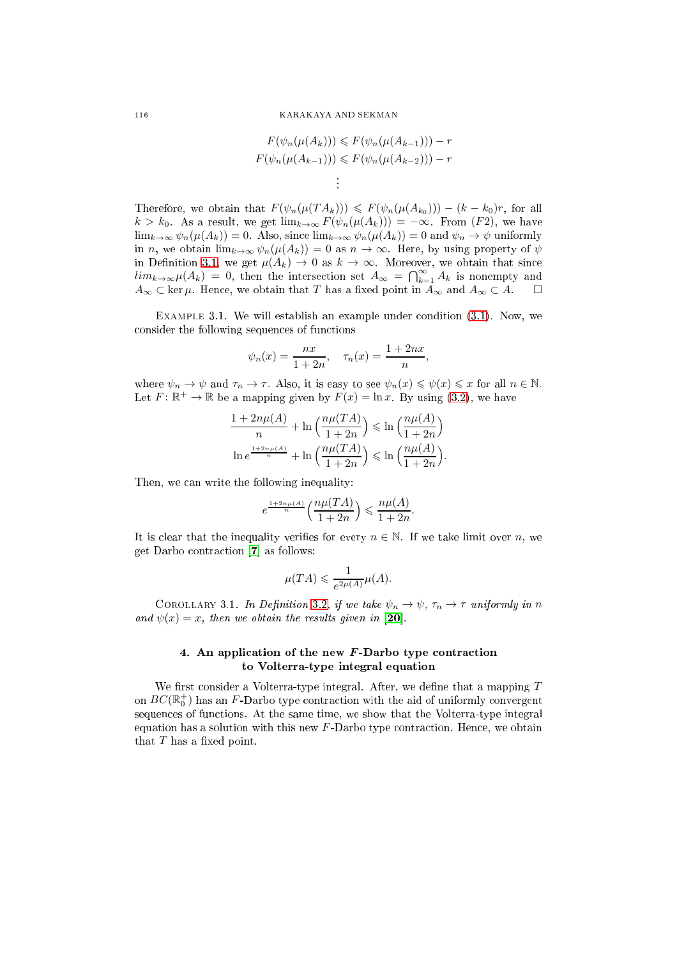$$
F(\psi_n(\mu(A_k))) \leq F(\psi_n(\mu(A_{k-1}))) - r
$$
  

$$
F(\psi_n(\mu(A_{k-1}))) \leq F(\psi_n(\mu(A_{k-2}))) - r
$$

Therefore, we obtain that  $F(\psi_n(\mu(T A_k))) \leq F(\psi_n(\mu(A_{k_0}))) - (k - k_0)r$ , for all  $k > k_0$ . As a result, we get  $\lim_{k\to\infty} F(\psi_n(\mu(A_k))) = -\infty$ . From  $(F2)$ , we have  $\lim_{k\to\infty}\psi_n(\mu(A_k))=0.$  Also, since  $\lim_{k\to\infty}\psi_n(\mu(A_k))=0$  and  $\psi_n\to\psi$  uniformly in n, we obtain  $\lim_{k\to\infty}\psi_n(\mu(A_k))=0$  as  $n\to\infty$ . Here, by using property of  $\psi$ in Definition [3.1,](#page-3-0) we get  $\mu(A_k) \to 0$  as  $k \to \infty$ . Moreover, we obtain that since  $\lim_{k\to\infty}\mu(A_k) = 0$ , then the intersection set  $A_\infty = \bigcap_{k=1}^\infty A_k$  is nonempty and  $A_{\infty} \subset \text{ker } \mu$ . Hence, we obtain that T has a fixed point in  $A_{\infty}$  and  $A_{\infty} \subset A$ .  $\square$ 

. .

EXAMPLE 3.1. We will establish an example under condition  $(3.1)$ . Now, we onsider the following sequen
es of fun
tions

$$
\psi_n(x) = \frac{nx}{1+2n}, \quad \tau_n(x) = \frac{1+2nx}{n},
$$

where  $\psi_n \to \psi$  and  $\tau_n \to \tau$ . Also, it is easy to see  $\psi_n(x) \leq \psi(x) \leq x$  for all  $n \in \mathbb{N}$ . Let  $F: \mathbb{R}^+ \to \mathbb{R}$  be a mapping given by  $F(x) = \ln x$ . By using [\(3.2\)](#page-3-5), we have

$$
\frac{1+2n\mu(A)}{n} + \ln\left(\frac{n\mu(TA)}{1+2n}\right) \le \ln\left(\frac{n\mu(A)}{1+2n}\right)
$$

$$
\ln e^{\frac{1+2n\mu(A)}{n}} + \ln\left(\frac{n\mu(TA)}{1+2n}\right) \le \ln\left(\frac{n\mu(A)}{1+2n}\right).
$$

Then, we can write the following inequality:

$$
e^{\frac{1+2n\mu(A)}{n}}\left(\frac{n\mu(TA)}{1+2n}\right) \leqslant \frac{n\mu(A)}{1+2n}.
$$

It is clear that the inequality verifies for every  $n \in \mathbb{N}$ . If we take limit over n, we get Darbo contraction  $|7|$  as follows:

$$
\mu(TA) \leqslant \frac{1}{e^{2\mu(A)}}\mu(A).
$$

COROLLARY 3.1. In Definition [3.2,](#page-3-2) if we take  $\psi_n \to \psi$ ,  $\tau_n \to \tau$  uniformly in n and  $\psi(x) = x$ , then we obtain the results given in [20].

# 4. An application of the new F-Darbo type contraction to Volterra-type integral equation

We first consider a Volterra-type integral. After, we define that a mapping  $T$ on  $BC(\mathbb{R}^+_0)$  has an F-Darbo type contraction with the aid of uniformly convergent sequences of functions. At the same time, we show that the Volterra-type integral equation has a solution with this new  $F$ -Darbo type contraction. Hence, we obtain that  $T$  has a fixed point.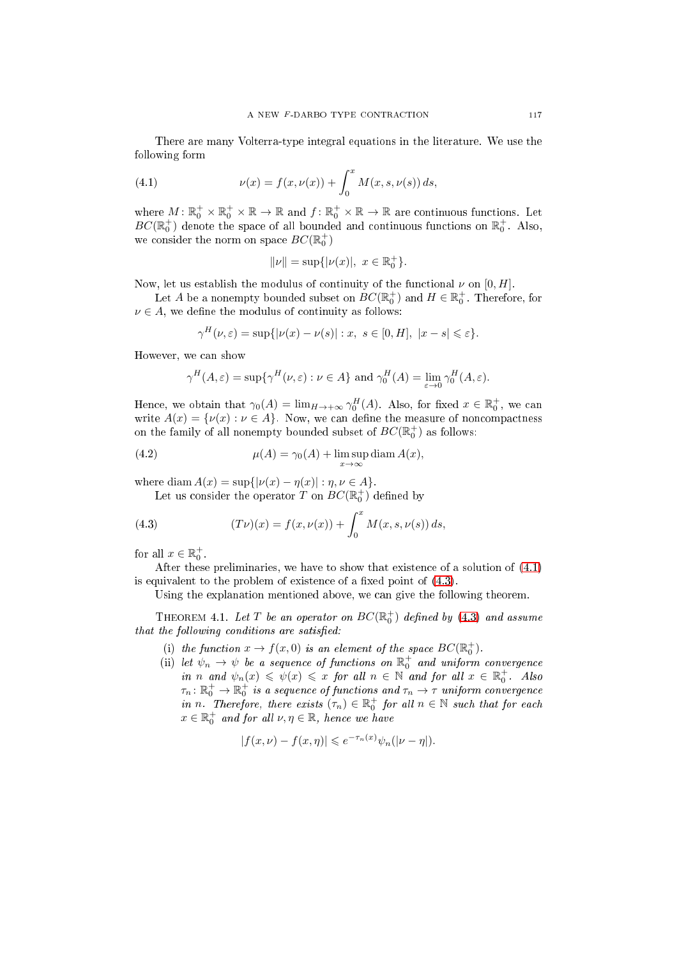There are many Volterra-type integral equations in the literature. We use the following form

(4.1) 
$$
\nu(x) = f(x, \nu(x)) + \int_0^x M(x, s, \nu(s)) ds,
$$

where  $M: \mathbb{R}_0^+ \times \mathbb{R}_0^+ \times \mathbb{R} \to \mathbb{R}$  and  $f: \mathbb{R}_0^+ \times \mathbb{R} \to \mathbb{R}$  are continuous functions. Let  $BC(\mathbb{R}^+_0)$  denote the space of all bounded and continuous functions on  $\mathbb{R}^+_0$ . Also, we consider the norm on space  $BC(\mathbb{R}^+_0)$ 

<span id="page-6-0"></span>
$$
\|\nu\| = \sup\{|\nu(x)|, x \in \mathbb{R}_0^+\}.
$$

Now, let us establish the modulus of continuity of the functional  $\nu$  on [0, H].

Let  $A$  be a nonempty bounded subset on  $BC(\mathbb{R}^+_0)$  and  $H \in \mathbb{R}^+_0$ . Therefore, for  $\nu \in A$ , we define the modulus of continuity as follows:

$$
\gamma^H(\nu,\varepsilon) = \sup\{|\nu(x) - \nu(s)| : x, s \in [0,H], |x - s| \leqslant \varepsilon\}.
$$

However, we an show

<span id="page-6-2"></span>
$$
\gamma^H(A,\varepsilon) = \sup \{ \gamma^H(\nu,\varepsilon) : \nu \in A \}
$$
 and  $\gamma_0^H(A) = \lim_{\varepsilon \to 0} \gamma_0^H(A,\varepsilon).$ 

Hence, we obtain that  $\gamma_0(A) = \lim_{H \to +\infty} \gamma_0^H(A)$ . Also, for fixed  $x \in \mathbb{R}_0^+$ , we can write  $A(x) = \{ \nu(x) : \nu \in A \}$ . Now, we can define the measure of noncompactness on the family of all nonempty bounded subset of  $BC(\mathbb{R}^+_0)$  as follows:

(4.2) 
$$
\mu(A) = \gamma_0(A) + \limsup_{x \to \infty} \text{diam } A(x),
$$

where diam  $A(x) = \sup\{|\nu(x) - \eta(x)| : \eta, \nu \in A\}.$ 

<span id="page-6-1"></span>Let us consider the operator  $T$  on  $BC(\mathbb{R}^+_0)$  defined by

(4.3) 
$$
(T\nu)(x) = f(x, \nu(x)) + \int_0^x M(x, s, \nu(s)) ds,
$$

for all  $x \in \mathbb{R}_0^+$ .

After these preliminaries, we have to show that existen
e of a solution of [\(4.1\)](#page-6-0) is equivalent to the problem of existence of a fixed point of  $(4.3)$ .

Using the explanation mentioned above, we can give the following theorem.

THEOREM 4.1. Let  $T$  be an operator on  $BC(\mathbb{R}^+_0)$  defined by  $(4.3)$  and assume that the following conditions are satisfied:

- (i) the function  $x \to f(x,0)$  is an element of the space  $BC(\mathbb{R}^+_0)$ .
- (ii) let  $\psi_n \to \psi$  be a sequence of functions on  $\mathbb{R}^+_0$  and uniform convergence in n and  $\psi_n(x) \leq \psi(x) \leq x$  for all  $n \in \mathbb{N}$  and for all  $x \in \mathbb{R}_0^+$ . Also  $\tau_n\colon \mathbb{R}^+_0\to\mathbb{R}^+_0$  is a sequence of functions and  $\tau_n\to\tau$  uniform convergence in n. Therefore, there exists  $(\tau_n) \in \mathbb{R}^+_0$  for all  $n \in \mathbb{N}$  such that for each  $x \in \mathbb{R}_0^+$  and for all  $\nu, \eta \in \mathbb{R}$ , hence we have

$$
|f(x,\nu) - f(x,\eta)| \leqslant e^{-\tau_n(x)}\psi_n(|\nu - \eta|).
$$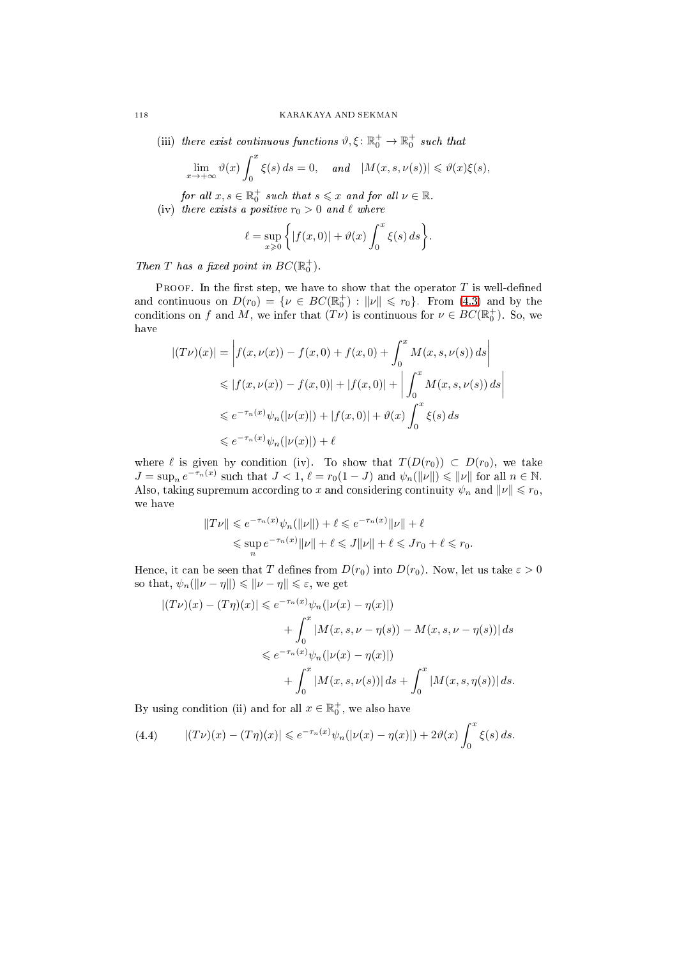(iii) there exist continuous functions  $\vartheta, \xi \colon \mathbb{R}_0^+ \to \mathbb{R}_0^+$  such that

$$
\lim_{x \to +\infty} \vartheta(x) \int_0^x \xi(s) \, ds = 0, \quad \text{and} \quad |M(x, s, \nu(s))| \leq \vartheta(x)\xi(s),
$$

for all  $x, s \in \mathbb{R}_0^+$  such that  $s \leqslant x$  and for all  $\nu \in \mathbb{R}$ .

(iv) there exists a positive  $r_0 > 0$  and  $\ell$  where

$$
\ell = \sup_{x \geq 0} \left\{ |f(x,0)| + \vartheta(x) \int_0^x \xi(s) \, ds \right\}.
$$

Then T has a fixed point in  $BC(\mathbb{R}^+_0)$ .

PROOF. In the first step, we have to show that the operator  $T$  is well-defined and continuous on  $D(r_0) = \{ \nu \in BC(\mathbb{R}^+_0) : ||\nu|| \leq r_0 \}$ . From [\(4.3\)](#page-6-1) and by the conditions on f and M, we infer that  $(T\nu)$  is continuous for  $\nu \in BC(\mathbb{R}^+_0)$ . So, we have

$$
|(T\nu)(x)| = \left| f(x, \nu(x)) - f(x, 0) + f(x, 0) + \int_0^x M(x, s, \nu(s)) ds \right|
$$
  
\n
$$
\leq |f(x, \nu(x)) - f(x, 0)| + |f(x, 0)| + \left| \int_0^x M(x, s, \nu(s)) ds \right|
$$
  
\n
$$
\leq e^{-\tau_n(x)} \psi_n(|\nu(x)|) + |f(x, 0)| + \vartheta(x) \int_0^x \xi(s) ds
$$
  
\n
$$
\leq e^{-\tau_n(x)} \psi_n(|\nu(x)|) + \ell
$$

where  $\ell$  is given by condition (iv). To show that  $T(D(r_0)) \subset D(r_0)$ , we take  $J = \sup_n e^{-\tau_n(x)}$  such that  $J < 1$ ,  $\ell = r_0(1 - J)$  and  $\psi_n(\|\nu\|) \leq \|\nu\|$  for all  $n \in \mathbb{N}$ . Also, taking supremum according to x and considering continuity  $\psi_n$  and  $\|\nu\| \leq r_0$ , we have

$$
||Tv|| \leq e^{-\tau_n(x)}\psi_n(||\nu||) + \ell \leq e^{-\tau_n(x)}||\nu|| + \ell
$$
  

$$
\leq \sup_n e^{-\tau_n(x)}||\nu|| + \ell \leq J||\nu|| + \ell \leq Jr_0 + \ell \leq r_0.
$$

Hence, it can be seen that T defines from  $D(r_0)$  into  $D(r_0)$ . Now, let us take  $\varepsilon > 0$ so that,  $\psi_n(\|\nu - \eta\|) \leq \|\nu - \eta\| \leq \varepsilon$ , we get

$$
|(T\nu)(x) - (T\eta)(x)| \le e^{-\tau_n(x)} \psi_n(|\nu(x) - \eta(x)|)
$$
  
+ 
$$
\int_0^x |M(x, s, \nu - \eta(s)) - M(x, s, \nu - \eta(s))| ds
$$
  

$$
\le e^{-\tau_n(x)} \psi_n(|\nu(x) - \eta(x)|)
$$
  
+ 
$$
\int_0^x |M(x, s, \nu(s))| ds + \int_0^x |M(x, s, \eta(s))| ds.
$$

By using condition (ii) and for all  $x \in \mathbb{R}^+_0$ , we also have

<span id="page-7-0"></span>(4.4) 
$$
|(T\nu)(x) - (T\eta)(x)| \leq e^{-\tau_n(x)} \psi_n(|\nu(x) - \eta(x)|) + 2\vartheta(x) \int_0^x \xi(s) ds.
$$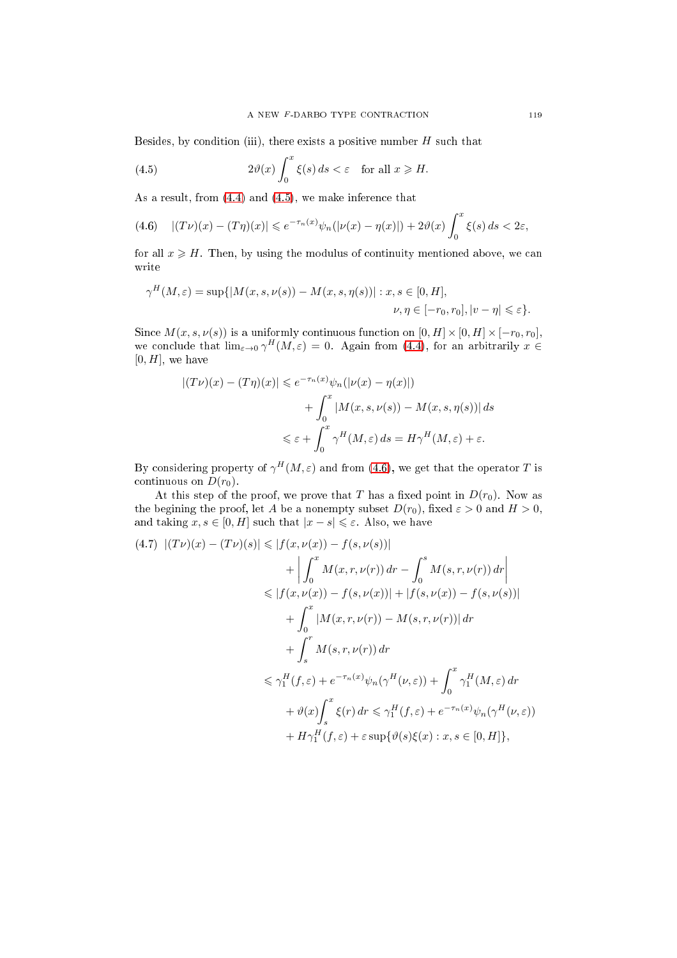Besides, by condition (iii), there exists a positive number  $H$  such that

<span id="page-8-0"></span>(4.5) 
$$
2\vartheta(x)\int_0^x \xi(s)\,ds < \varepsilon \quad \text{for all } x \geqslant H.
$$

As a result, from  $(4.4)$  and  $(4.5)$ , we make inference that

<span id="page-8-1"></span>
$$
(4.6)\quad |(T\nu)(x)-(T\eta)(x)|\leqslant e^{-\tau_n(x)}\psi_n(|\nu(x)-\eta(x)|)+2\vartheta(x)\int_0^x\xi(s)\,ds<2\varepsilon,
$$

for all  $x \geqslant H$ . Then, by using the modulus of continuity mentioned above, we can write

$$
\gamma^H(M,\varepsilon) = \sup\{|M(x,s,\nu(s)) - M(x,s,\eta(s))| : x, s \in [0,H],
$$
  

$$
\nu, \eta \in [-r_0, r_0], |v - \eta| \leq \varepsilon\}.
$$

Since  $M(x, s, \nu(s))$  is a uniformly continuous function on  $[0, H] \times [0, H] \times [-r_0, r_0]$ , we conclude that  $\lim_{\varepsilon \to 0} \gamma^H(M,\varepsilon) = 0$ . Again from [\(4.4\)](#page-7-0), for an arbitrarily  $x \in$  $[0, H]$ , we have

$$
|(T\nu)(x) - (T\eta)(x)| \le e^{-\tau_n(x)} \psi_n(|\nu(x) - \eta(x)|)
$$
  
+ 
$$
\int_0^x |M(x, s, \nu(s)) - M(x, s, \eta(s))| ds
$$
  

$$
\le \varepsilon + \int_0^x \gamma^H(M, \varepsilon) ds = H\gamma^H(M, \varepsilon) + \varepsilon.
$$

By considering property of  $\gamma^H(M,\varepsilon)$  and from [\(4.6\)](#page-8-1), we get that the operator T is continuous on  $D(r_0)$ .

At this step of the proof, we prove that T has a fixed point in  $D(r_0)$ . Now as the begining the proof, let A be a nonempty subset  $D(r_0)$ , fixed  $\varepsilon > 0$  and  $H > 0$ , and taking  $x, s \in [0, H]$  such that  $|x - s| \leq \varepsilon$ . Also, we have

<span id="page-8-2"></span>
$$
(4.7) \ |(T\nu)(x) - (T\nu)(s)| \le |f(x, \nu(x)) - f(s, \nu(s))|
$$
  
+ 
$$
\left| \int_0^x M(x, r, \nu(r)) dr - \int_0^s M(s, r, \nu(r)) dr \right|
$$
  

$$
\le |f(x, \nu(x)) - f(s, \nu(x))| + |f(s, \nu(x)) - f(s, \nu(s))|
$$
  
+ 
$$
\int_0^x |M(x, r, \nu(r)) - M(s, r, \nu(r))| dr
$$
  
+ 
$$
\int_s^r M(s, r, \nu(r)) dr
$$
  

$$
\le \gamma_1^H(f, \varepsilon) + e^{-\tau_n(x)} \psi_n(\gamma^H(\nu, \varepsilon)) + \int_0^x \gamma_1^H(M, \varepsilon) dr
$$
  
+ 
$$
\vartheta(x) \int_s^x \xi(r) dr \le \gamma_1^H(f, \varepsilon) + e^{-\tau_n(x)} \psi_n(\gamma^H(\nu, \varepsilon))
$$
  
+ 
$$
H \gamma_1^H(f, \varepsilon) + \varepsilon \sup \{\vartheta(s)\xi(x) : x, s \in [0, H]\},
$$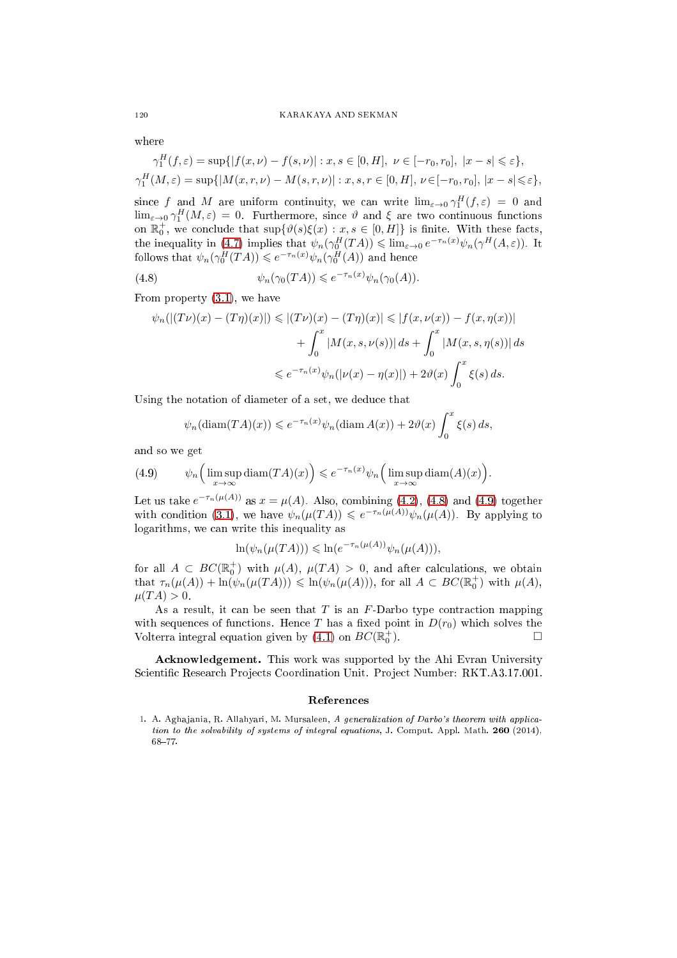#### 120 KARAKAYA AND SEKMAN

where

 $\overline{f}$ 

$$
\gamma_1^H(f, \varepsilon) = \sup\{|f(x, \nu) - f(s, \nu)| : x, s \in [0, H], \ \nu \in [-r_0, r_0], \ |x - s| \leq \varepsilon\},\
$$
  

$$
\gamma_1^H(M, \varepsilon) = \sup\{|M(x, r, \nu) - M(s, r, \nu)| : x, s, r \in [0, H], \ \nu \in [-r_0, r_0], \ |x - s| \leq \varepsilon\},\
$$

since f and M are uniform continuity, we can write  $\lim_{\varepsilon\to 0} \gamma_1^H(f,\varepsilon) = 0$  and  $\lim_{\varepsilon\to 0}\gamma_1^H(M,\varepsilon)=0$ . Furthermore, since  $\vartheta$  and  $\xi$  are two continuous functions on  $\mathbb{R}_0^+$ , we conclude that  $\sup\{\vartheta(s)\xi(x): x, s \in [0, H]\}$  is finite. With these facts, the inequality in [\(4.7\)](#page-8-2) implies that  $\psi_n(\gamma_0^H(TA)) \leq \lim_{\varepsilon \to 0} e^{-\tau_n(x)} \psi_n(\gamma^H(A, \varepsilon))$ . It follows that  $\psi_n(\gamma_0^H(TA)) \leqslant e^{-\tau_n(x)} \psi_n(\gamma_0^H(A))$  and hence

(4.8) 
$$
\psi_n(\gamma_0(TA)) \leqslant e^{-\tau_n(x)} \psi_n(\gamma_0(A)).
$$

From property [\(3.1\)](#page-3-4), we have

<span id="page-9-1"></span>
$$
\psi_n(|(T\nu)(x) - (T\eta)(x)|) \le |(T\nu)(x) - (T\eta)(x)| \le |f(x, \nu(x)) - f(x, \eta(x))|
$$
  
+ 
$$
\int_0^x |M(x, s, \nu(s))| ds + \int_0^x |M(x, s, \eta(s))| ds
$$
  

$$
\le e^{-\tau_n(x)} \psi_n(|\nu(x) - \eta(x)|) + 2\vartheta(x) \int_0^x \xi(s) ds.
$$

Using the notation of diameter of a set, we deduce that

$$
\psi_n(\text{diam}(TA)(x)) \leq e^{-\tau_n(x)} \psi_n(\text{diam }A(x)) + 2\vartheta(x) \int_0^x \xi(s) ds,
$$

and so we get

<span id="page-9-2"></span>(4.9) 
$$
\psi_n\Big(\limsup_{x\to\infty} \text{diam}(TA)(x)\Big) \leqslant e^{-\tau_n(x)}\psi_n\Big(\limsup_{x\to\infty} \text{diam}(A)(x)\Big).
$$

Let us take  $e^{-\tau_n(\mu(A))}$  as  $x = \mu(A)$ . Also, combining [\(4.2\)](#page-6-2), [\(4.8\)](#page-9-1) and [\(4.9\)](#page-9-2) together with condition [\(3.1\)](#page-3-4), we have  $\psi_n(\mu(TA)) \leqslant e^{-\tau_n(\mu(A))}\psi_n(\mu(A))$ . By applying to logarithms, we an write this inequality as

$$
\ln(\psi_n(\mu(TA))) \leq \ln(e^{-\tau_n(\mu(A))}\psi_n(\mu(A))),
$$

for all  $A \subset BC(\mathbb{R}^+_0)$  with  $\mu(A)$ ,  $\mu(TA) > 0$ , and after calculations, we obtain that  $\tau_n(\mu(A)) + \ln(\psi_n(\mu(TA))) \leq \ln(\psi_n(\mu(A))),$  for all  $A \subset BC(\mathbb{R}_0^+)$  with  $\mu(A)$ ,  $\mu(T A) > 0.$ 

As a result, it can be seen that  $T$  is an  $F$ -Darbo type contraction mapping with sequences of functions. Hence T has a fixed point in  $D(r_0)$  which solves the Volterra integral equation given by [\(4.1\)](#page-6-0) on  $BC(\mathbb{R}^+_0)$ ).  $\qquad \qquad \Box$ 

Acknowledgement. This work was supported by the Ahi Evran University Scientific Research Projects Coordination Unit. Project Number: RKT.A3.17.001.

<span id="page-9-0"></span>1. A. Aghajania, R. Allahyari, M. Mursaleen, A generalization of Darbo's theorem with application to the solvability of systems of integral equations, J. Comput. Appl. Math. 260 (2014),  $68 - 77.$